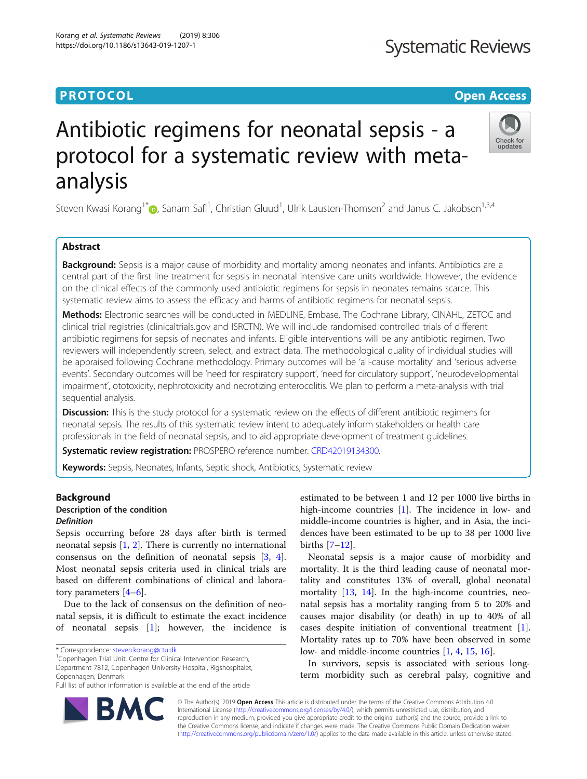Korang et al. Systematic Reviews (2019) 8:306 https://doi.org/10.1186/s13643-019-1207-1

# **Systematic Reviews**

# Antibiotic regimens for neonatal sepsis - a protocol for a systematic review with metaanalysis

Steven Kwasi Korang<sup>1\*</sup>�[,](http://orcid.org/0000-0002-6521-0928) Sanam Safi<sup>1</sup>, Christian Gluud<sup>1</sup>, Ulrik Lausten-Thomsen<sup>2</sup> and Janus C. Jakobsen<sup>1,3,4</sup>

# Abstract

Background: Sepsis is a major cause of morbidity and mortality among neonates and infants. Antibiotics are a central part of the first line treatment for sepsis in neonatal intensive care units worldwide. However, the evidence on the clinical effects of the commonly used antibiotic regimens for sepsis in neonates remains scarce. This systematic review aims to assess the efficacy and harms of antibiotic regimens for neonatal sepsis.

Methods: Electronic searches will be conducted in MEDLINE, Embase, The Cochrane Library, CINAHL, ZETOC and clinical trial registries (clinicaltrials.gov and ISRCTN). We will include randomised controlled trials of different antibiotic regimens for sepsis of neonates and infants. Eligible interventions will be any antibiotic regimen. Two reviewers will independently screen, select, and extract data. The methodological quality of individual studies will be appraised following Cochrane methodology. Primary outcomes will be 'all-cause mortality' and 'serious adverse events'. Secondary outcomes will be 'need for respiratory support', 'need for circulatory support', 'neurodevelopmental impairment', ototoxicity, nephrotoxicity and necrotizing enterocolitis. We plan to perform a meta-analysis with trial sequential analysis.

Discussion: This is the study protocol for a systematic review on the effects of different antibiotic regimens for neonatal sepsis. The results of this systematic review intent to adequately inform stakeholders or health care professionals in the field of neonatal sepsis, and to aid appropriate development of treatment guidelines.

Systematic review registration: PROSPERO reference number: [CRD42019134300](https://www.crd.york.ac.uk/PROSPERO/display_record.php?RecordID=134300).

Keywords: Sepsis, Neonates, Infants, Septic shock, Antibiotics, Systematic review

# Background

# Description of the condition Definition

Sepsis occurring before 28 days after birth is termed neonatal sepsis [\[1](#page-9-0), [2](#page-9-0)]. There is currently no international consensus on the definition of neonatal sepsis [[3,](#page-9-0) [4](#page-9-0)]. Most neonatal sepsis criteria used in clinical trials are based on different combinations of clinical and laboratory parameters [\[4](#page-9-0)–[6](#page-9-0)].

Due to the lack of consensus on the definition of neonatal sepsis, it is difficult to estimate the exact incidence of neonatal sepsis [[1\]](#page-9-0); however, the incidence is

<sup>1</sup> Copenhagen Trial Unit, Centre for Clinical Intervention Research, Department 7812, Copenhagen University Hospital, Rigshospitalet, Copenhagen, Denmark

estimated to be between 1 and 12 per 1000 live births in high-income countries [\[1](#page-9-0)]. The incidence in low- and middle-income countries is higher, and in Asia, the incidences have been estimated to be up to 38 per 1000 live births [\[7](#page-9-0)–[12](#page-9-0)].

Neonatal sepsis is a major cause of morbidity and mortality. It is the third leading cause of neonatal mortality and constitutes 13% of overall, global neonatal mortality [\[13,](#page-9-0) [14\]](#page-9-0). In the high-income countries, neonatal sepsis has a mortality ranging from 5 to 20% and causes major disability (or death) in up to 40% of all cases despite initiation of conventional treatment [\[1](#page-9-0)]. Mortality rates up to 70% have been observed in some low- and middle-income countries [\[1](#page-9-0), [4](#page-9-0), [15](#page-9-0), [16](#page-9-0)].

In survivors, sepsis is associated with serious longterm morbidity such as cerebral palsy, cognitive and

© The Author(s). 2019 **Open Access** This article is distributed under the terms of the Creative Commons Attribution 4.0 International License [\(http://creativecommons.org/licenses/by/4.0/](http://creativecommons.org/licenses/by/4.0/)), which permits unrestricted use, distribution, and reproduction in any medium, provided you give appropriate credit to the original author(s) and the source, provide a link to the Creative Commons license, and indicate if changes were made. The Creative Commons Public Domain Dedication waiver [\(http://creativecommons.org/publicdomain/zero/1.0/](http://creativecommons.org/publicdomain/zero/1.0/)) applies to the data made available in this article, unless otherwise stated.





<sup>\*</sup> Correspondence: [steven.korang@ctu.dk](mailto:steven.korang@ctu.dk) <sup>1</sup>

Full list of author information is available at the end of the article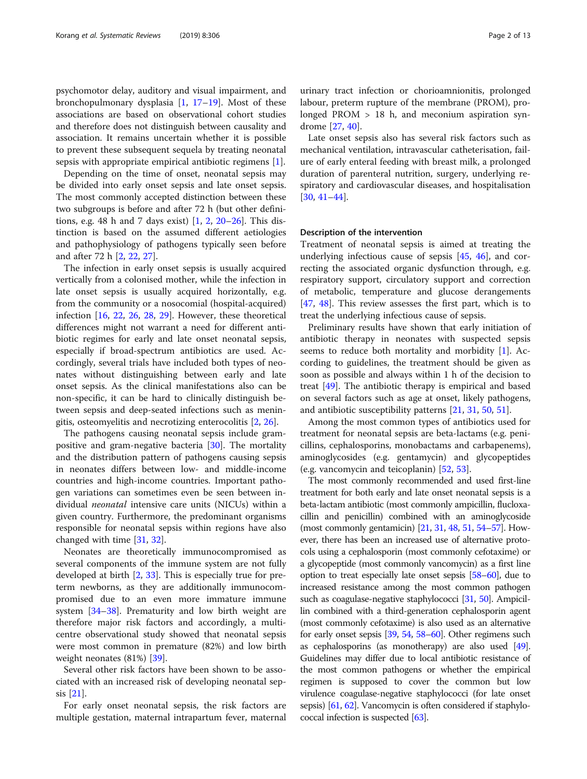psychomotor delay, auditory and visual impairment, and bronchopulmonary dysplasia [[1,](#page-9-0) [17](#page-9-0)–[19](#page-9-0)]. Most of these associations are based on observational cohort studies and therefore does not distinguish between causality and association. It remains uncertain whether it is possible to prevent these subsequent sequela by treating neonatal sepsis with appropriate empirical antibiotic regimens [\[1](#page-9-0)].

Depending on the time of onset, neonatal sepsis may be divided into early onset sepsis and late onset sepsis. The most commonly accepted distinction between these two subgroups is before and after 72 h (but other definitions, e.g. 48 h and 7 days exist)  $[1, 2, 20-26]$  $[1, 2, 20-26]$  $[1, 2, 20-26]$  $[1, 2, 20-26]$  $[1, 2, 20-26]$  $[1, 2, 20-26]$  $[1, 2, 20-26]$ . This distinction is based on the assumed different aetiologies and pathophysiology of pathogens typically seen before and after 72 h [\[2](#page-9-0), [22](#page-9-0), [27\]](#page-9-0).

The infection in early onset sepsis is usually acquired vertically from a colonised mother, while the infection in late onset sepsis is usually acquired horizontally, e.g. from the community or a nosocomial (hospital-acquired) infection [\[16](#page-9-0), [22,](#page-9-0) [26](#page-9-0), [28,](#page-9-0) [29](#page-9-0)]. However, these theoretical differences might not warrant a need for different antibiotic regimes for early and late onset neonatal sepsis, especially if broad-spectrum antibiotics are used. Accordingly, several trials have included both types of neonates without distinguishing between early and late onset sepsis. As the clinical manifestations also can be non-specific, it can be hard to clinically distinguish between sepsis and deep-seated infections such as meningitis, osteomyelitis and necrotizing enterocolitis [[2,](#page-9-0) [26\]](#page-9-0).

The pathogens causing neonatal sepsis include grampositive and gram-negative bacteria [\[30](#page-9-0)]. The mortality and the distribution pattern of pathogens causing sepsis in neonates differs between low- and middle-income countries and high-income countries. Important pathogen variations can sometimes even be seen between individual neonatal intensive care units (NICUs) within a given country. Furthermore, the predominant organisms responsible for neonatal sepsis within regions have also changed with time [[31,](#page-9-0) [32](#page-9-0)].

Neonates are theoretically immunocompromised as several components of the immune system are not fully developed at birth [[2,](#page-9-0) [33\]](#page-9-0). This is especially true for preterm newborns, as they are additionally immunocompromised due to an even more immature immune system [[34](#page-9-0)–[38](#page-10-0)]. Prematurity and low birth weight are therefore major risk factors and accordingly, a multicentre observational study showed that neonatal sepsis were most common in premature (82%) and low birth weight neonates (81%) [[39\]](#page-10-0).

Several other risk factors have been shown to be associated with an increased risk of developing neonatal sepsis [[21\]](#page-9-0).

For early onset neonatal sepsis, the risk factors are multiple gestation, maternal intrapartum fever, maternal

urinary tract infection or chorioamnionitis, prolonged labour, preterm rupture of the membrane (PROM), prolonged PROM > 18 h, and meconium aspiration syndrome [\[27](#page-9-0), [40](#page-10-0)].

Late onset sepsis also has several risk factors such as mechanical ventilation, intravascular catheterisation, failure of early enteral feeding with breast milk, a prolonged duration of parenteral nutrition, surgery, underlying respiratory and cardiovascular diseases, and hospitalisation [[30,](#page-9-0) [41](#page-10-0)–[44](#page-10-0)].

#### Description of the intervention

Treatment of neonatal sepsis is aimed at treating the underlying infectious cause of sepsis [[45](#page-10-0), [46\]](#page-10-0), and correcting the associated organic dysfunction through, e.g. respiratory support, circulatory support and correction of metabolic, temperature and glucose derangements [[47,](#page-10-0) [48\]](#page-10-0). This review assesses the first part, which is to treat the underlying infectious cause of sepsis.

Preliminary results have shown that early initiation of antibiotic therapy in neonates with suspected sepsis seems to reduce both mortality and morbidity [\[1](#page-9-0)]. According to guidelines, the treatment should be given as soon as possible and always within 1 h of the decision to treat [\[49](#page-10-0)]. The antibiotic therapy is empirical and based on several factors such as age at onset, likely pathogens, and antibiotic susceptibility patterns [\[21](#page-9-0), [31](#page-9-0), [50,](#page-10-0) [51\]](#page-10-0).

Among the most common types of antibiotics used for treatment for neonatal sepsis are beta-lactams (e.g. penicillins, cephalosporins, monobactams and carbapenems), aminoglycosides (e.g. gentamycin) and glycopeptides (e.g. vancomycin and teicoplanin) [\[52](#page-10-0), [53](#page-10-0)].

The most commonly recommended and used first-line treatment for both early and late onset neonatal sepsis is a beta-lactam antibiotic (most commonly ampicillin, flucloxacillin and penicillin) combined with an aminoglycoside (most commonly gentamicin) [[21](#page-9-0), [31](#page-9-0), [48,](#page-10-0) [51,](#page-10-0) [54](#page-10-0)–[57](#page-10-0)]. However, there has been an increased use of alternative protocols using a cephalosporin (most commonly cefotaxime) or a glycopeptide (most commonly vancomycin) as a first line option to treat especially late onset sepsis [\[58](#page-10-0)–[60\]](#page-10-0), due to increased resistance among the most common pathogen such as coagulase-negative staphylococci [[31](#page-9-0), [50\]](#page-10-0). Ampicillin combined with a third-generation cephalosporin agent (most commonly cefotaxime) is also used as an alternative for early onset sepsis [\[39,](#page-10-0) [54](#page-10-0), [58](#page-10-0)–[60](#page-10-0)]. Other regimens such as cephalosporins (as monotherapy) are also used [\[49](#page-10-0)]. Guidelines may differ due to local antibiotic resistance of the most common pathogens or whether the empirical regimen is supposed to cover the common but low virulence coagulase-negative staphylococci (for late onset sepsis) [[61](#page-10-0), [62](#page-10-0)]. Vancomycin is often considered if staphylococcal infection is suspected [\[63\]](#page-10-0).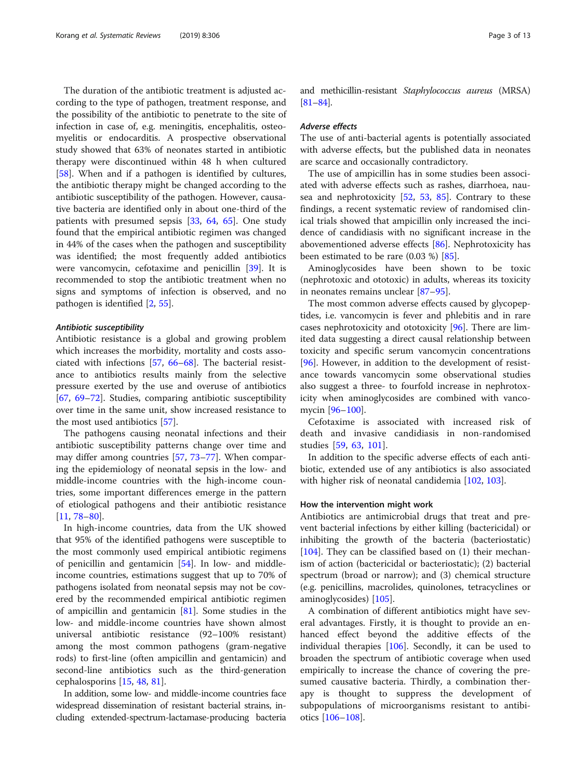The duration of the antibiotic treatment is adjusted according to the type of pathogen, treatment response, and the possibility of the antibiotic to penetrate to the site of infection in case of, e.g. meningitis, encephalitis, osteomyelitis or endocarditis. A prospective observational study showed that 63% of neonates started in antibiotic therapy were discontinued within 48 h when cultured [[58\]](#page-10-0). When and if a pathogen is identified by cultures, the antibiotic therapy might be changed according to the antibiotic susceptibility of the pathogen. However, causative bacteria are identified only in about one-third of the patients with presumed sepsis [[33,](#page-9-0) [64](#page-10-0), [65](#page-10-0)]. One study found that the empirical antibiotic regimen was changed in 44% of the cases when the pathogen and susceptibility was identified; the most frequently added antibiotics were vancomycin, cefotaxime and penicillin [\[39](#page-10-0)]. It is recommended to stop the antibiotic treatment when no signs and symptoms of infection is observed, and no pathogen is identified [\[2](#page-9-0), [55\]](#page-10-0).

#### Antibiotic susceptibility

Antibiotic resistance is a global and growing problem which increases the morbidity, mortality and costs associated with infections [[57](#page-10-0), [66](#page-10-0)–[68](#page-10-0)]. The bacterial resistance to antibiotics results mainly from the selective pressure exerted by the use and overuse of antibiotics [[67,](#page-10-0) [69](#page-10-0)–[72\]](#page-10-0). Studies, comparing antibiotic susceptibility over time in the same unit, show increased resistance to the most used antibiotics [[57\]](#page-10-0).

The pathogens causing neonatal infections and their antibiotic susceptibility patterns change over time and may differ among countries [[57,](#page-10-0) [73](#page-10-0)–[77\]](#page-10-0). When comparing the epidemiology of neonatal sepsis in the low- and middle-income countries with the high-income countries, some important differences emerge in the pattern of etiological pathogens and their antibiotic resistance [[11,](#page-9-0) [78](#page-10-0)–[80](#page-10-0)].

In high-income countries, data from the UK showed that 95% of the identified pathogens were susceptible to the most commonly used empirical antibiotic regimens of penicillin and gentamicin [[54\]](#page-10-0). In low- and middleincome countries, estimations suggest that up to 70% of pathogens isolated from neonatal sepsis may not be covered by the recommended empirical antibiotic regimen of ampicillin and gentamicin [\[81\]](#page-10-0). Some studies in the low- and middle-income countries have shown almost universal antibiotic resistance (92–100% resistant) among the most common pathogens (gram-negative rods) to first-line (often ampicillin and gentamicin) and second-line antibiotics such as the third-generation cephalosporins [[15,](#page-9-0) [48](#page-10-0), [81](#page-10-0)].

In addition, some low- and middle-income countries face widespread dissemination of resistant bacterial strains, including extended-spectrum-lactamase-producing bacteria and methicillin-resistant Staphylococcus aureus (MRSA) [[81](#page-10-0)–[84](#page-11-0)].

#### Adverse effects

The use of anti-bacterial agents is potentially associated with adverse effects, but the published data in neonates are scarce and occasionally contradictory.

The use of ampicillin has in some studies been associated with adverse effects such as rashes, diarrhoea, nausea and nephrotoxicity [\[52](#page-10-0), [53](#page-10-0), [85\]](#page-11-0). Contrary to these findings, a recent systematic review of randomised clinical trials showed that ampicillin only increased the incidence of candidiasis with no significant increase in the abovementioned adverse effects [[86\]](#page-11-0). Nephrotoxicity has been estimated to be rare (0.03 %) [\[85\]](#page-11-0).

Aminoglycosides have been shown to be toxic (nephrotoxic and ototoxic) in adults, whereas its toxicity in neonates remains unclear [\[87](#page-11-0)–[95\]](#page-11-0).

The most common adverse effects caused by glycopeptides, i.e. vancomycin is fever and phlebitis and in rare cases nephrotoxicity and ototoxicity [[96\]](#page-11-0). There are limited data suggesting a direct causal relationship between toxicity and specific serum vancomycin concentrations [[96\]](#page-11-0). However, in addition to the development of resistance towards vancomycin some observational studies also suggest a three- to fourfold increase in nephrotoxicity when aminoglycosides are combined with vancomycin [[96](#page-11-0)–[100](#page-11-0)].

Cefotaxime is associated with increased risk of death and invasive candidiasis in non-randomised studies [[59,](#page-10-0) [63,](#page-10-0) [101](#page-11-0)].

In addition to the specific adverse effects of each antibiotic, extended use of any antibiotics is also associated with higher risk of neonatal candidemia [[102,](#page-11-0) [103](#page-11-0)].

# How the intervention might work

Antibiotics are antimicrobial drugs that treat and prevent bacterial infections by either killing (bactericidal) or inhibiting the growth of the bacteria (bacteriostatic) [[104\]](#page-11-0). They can be classified based on (1) their mechanism of action (bactericidal or bacteriostatic); (2) bacterial spectrum (broad or narrow); and (3) chemical structure (e.g. penicillins, macrolides, quinolones, tetracyclines or aminoglycosides) [[105](#page-11-0)].

A combination of different antibiotics might have several advantages. Firstly, it is thought to provide an enhanced effect beyond the additive effects of the individual therapies [[106](#page-11-0)]. Secondly, it can be used to broaden the spectrum of antibiotic coverage when used empirically to increase the chance of covering the presumed causative bacteria. Thirdly, a combination therapy is thought to suppress the development of subpopulations of microorganisms resistant to antibiotics [[106](#page-11-0)–[108](#page-11-0)].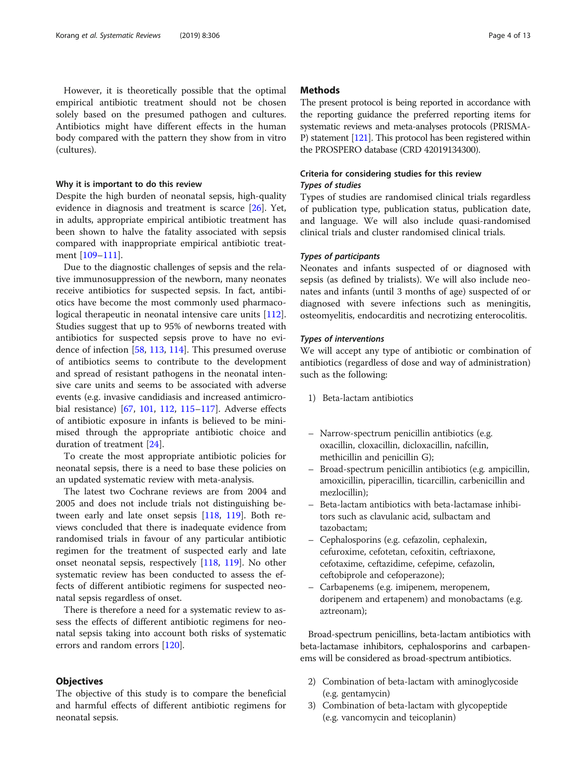#### Why it is important to do this review

(cultures).

Despite the high burden of neonatal sepsis, high-quality evidence in diagnosis and treatment is scarce [[26](#page-9-0)]. Yet, in adults, appropriate empirical antibiotic treatment has been shown to halve the fatality associated with sepsis compared with inappropriate empirical antibiotic treatment [[109](#page-11-0)–[111](#page-11-0)].

Due to the diagnostic challenges of sepsis and the relative immunosuppression of the newborn, many neonates receive antibiotics for suspected sepsis. In fact, antibiotics have become the most commonly used pharmacological therapeutic in neonatal intensive care units [\[112](#page-11-0)]. Studies suggest that up to 95% of newborns treated with antibiotics for suspected sepsis prove to have no evidence of infection [[58,](#page-10-0) [113,](#page-11-0) [114](#page-11-0)]. This presumed overuse of antibiotics seems to contribute to the development and spread of resistant pathogens in the neonatal intensive care units and seems to be associated with adverse events (e.g. invasive candidiasis and increased antimicrobial resistance) [[67](#page-10-0), [101](#page-11-0), [112](#page-11-0), [115](#page-11-0)–[117](#page-11-0)]. Adverse effects of antibiotic exposure in infants is believed to be minimised through the appropriate antibiotic choice and duration of treatment [[24](#page-9-0)].

To create the most appropriate antibiotic policies for neonatal sepsis, there is a need to base these policies on an updated systematic review with meta-analysis.

The latest two Cochrane reviews are from 2004 and 2005 and does not include trials not distinguishing between early and late onset sepsis [[118,](#page-11-0) [119](#page-11-0)]. Both reviews concluded that there is inadequate evidence from randomised trials in favour of any particular antibiotic regimen for the treatment of suspected early and late onset neonatal sepsis, respectively [[118](#page-11-0), [119](#page-11-0)]. No other systematic review has been conducted to assess the effects of different antibiotic regimens for suspected neonatal sepsis regardless of onset.

There is therefore a need for a systematic review to assess the effects of different antibiotic regimens for neonatal sepsis taking into account both risks of systematic errors and random errors [\[120](#page-11-0)].

# **Objectives**

The objective of this study is to compare the beneficial and harmful effects of different antibiotic regimens for neonatal sepsis.

# **Methods**

The present protocol is being reported in accordance with the reporting guidance the preferred reporting items for systematic reviews and meta-analyses protocols (PRISMA-P) statement [\[121\]](#page-11-0). This protocol has been registered within the PROSPERO database (CRD 42019134300).

# Criteria for considering studies for this review Types of studies

Types of studies are randomised clinical trials regardless of publication type, publication status, publication date, and language. We will also include quasi-randomised clinical trials and cluster randomised clinical trials.

### Types of participants

Neonates and infants suspected of or diagnosed with sepsis (as defined by trialists). We will also include neonates and infants (until 3 months of age) suspected of or diagnosed with severe infections such as meningitis, osteomyelitis, endocarditis and necrotizing enterocolitis.

#### Types of interventions

We will accept any type of antibiotic or combination of antibiotics (regardless of dose and way of administration) such as the following:

- 1) Beta-lactam antibiotics
- Narrow-spectrum penicillin antibiotics (e.g. oxacillin, cloxacillin, dicloxacillin, nafcillin, methicillin and penicillin G);
- Broad-spectrum penicillin antibiotics (e.g. ampicillin, amoxicillin, piperacillin, ticarcillin, carbenicillin and mezlocillin);
- Beta-lactam antibiotics with beta-lactamase inhibitors such as clavulanic acid, sulbactam and tazobactam;
- Cephalosporins (e.g. cefazolin, cephalexin, cefuroxime, cefotetan, cefoxitin, ceftriaxone, cefotaxime, ceftazidime, cefepime, cefazolin, ceftobiprole and cefoperazone);
- Carbapenems (e.g. imipenem, meropenem, doripenem and ertapenem) and monobactams (e.g. aztreonam);

Broad-spectrum penicillins, beta-lactam antibiotics with beta-lactamase inhibitors, cephalosporins and carbapenems will be considered as broad-spectrum antibiotics.

- 2) Combination of beta-lactam with aminoglycoside (e.g. gentamycin)
- 3) Combination of beta-lactam with glycopeptide (e.g. vancomycin and teicoplanin)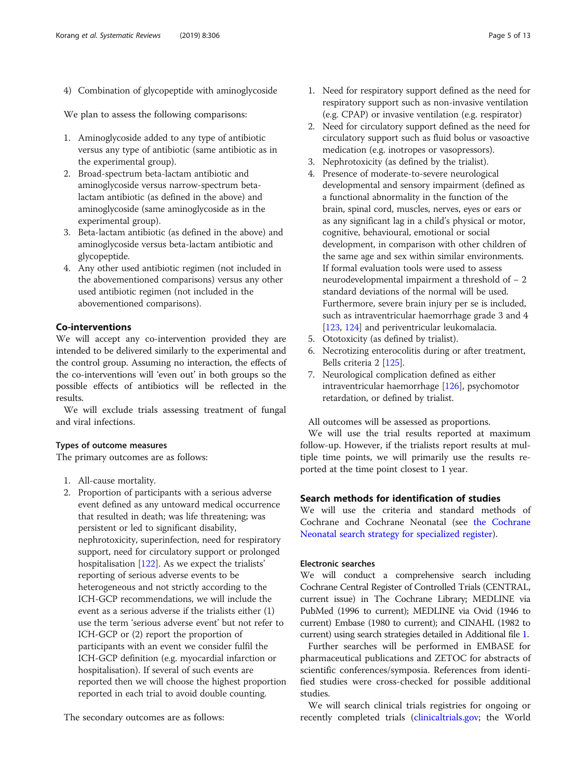4) Combination of glycopeptide with aminoglycoside

We plan to assess the following comparisons:

- 1. Aminoglycoside added to any type of antibiotic versus any type of antibiotic (same antibiotic as in the experimental group).
- 2. Broad-spectrum beta-lactam antibiotic and aminoglycoside versus narrow-spectrum betalactam antibiotic (as defined in the above) and aminoglycoside (same aminoglycoside as in the experimental group).
- 3. Beta-lactam antibiotic (as defined in the above) and aminoglycoside versus beta-lactam antibiotic and glycopeptide.
- 4. Any other used antibiotic regimen (not included in the abovementioned comparisons) versus any other used antibiotic regimen (not included in the abovementioned comparisons).

# Co-interventions

We will accept any co-intervention provided they are intended to be delivered similarly to the experimental and the control group. Assuming no interaction, the effects of the co-interventions will 'even out' in both groups so the possible effects of antibiotics will be reflected in the results.

We will exclude trials assessing treatment of fungal and viral infections.

# Types of outcome measures

The primary outcomes are as follows:

- 1. All-cause mortality.
- 2. Proportion of participants with a serious adverse event defined as any untoward medical occurrence that resulted in death; was life threatening; was persistent or led to significant disability, nephrotoxicity, superinfection, need for respiratory support, need for circulatory support or prolonged hospitalisation [\[122\]](#page-11-0). As we expect the trialists' reporting of serious adverse events to be heterogeneous and not strictly according to the ICH-GCP recommendations, we will include the event as a serious adverse if the trialists either (1) use the term 'serious adverse event' but not refer to ICH-GCP or (2) report the proportion of participants with an event we consider fulfil the ICH-GCP definition (e.g. myocardial infarction or hospitalisation). If several of such events are reported then we will choose the highest proportion reported in each trial to avoid double counting.
- 1. Need for respiratory support defined as the need for respiratory support such as non-invasive ventilation (e.g. CPAP) or invasive ventilation (e.g. respirator)
- 2. Need for circulatory support defined as the need for circulatory support such as fluid bolus or vasoactive medication (e.g. inotropes or vasopressors).
- 3. Nephrotoxicity (as defined by the trialist).
- 4. Presence of moderate-to-severe neurological developmental and sensory impairment (defined as a functional abnormality in the function of the brain, spinal cord, muscles, nerves, eyes or ears or as any significant lag in a child's physical or motor, cognitive, behavioural, emotional or social development, in comparison with other children of the same age and sex within similar environments. If formal evaluation tools were used to assess neurodevelopmental impairment a threshold of − 2 standard deviations of the normal will be used. Furthermore, severe brain injury per se is included, such as intraventricular haemorrhage grade 3 and 4 [[123,](#page-11-0) [124](#page-11-0)] and periventricular leukomalacia.
- 5. Ototoxicity (as defined by trialist).
- 6. Necrotizing enterocolitis during or after treatment, Bells criteria 2 [\[125\]](#page-11-0).
- 7. Neurological complication defined as either intraventricular haemorrhage [[126](#page-11-0)], psychomotor retardation, or defined by trialist.

All outcomes will be assessed as proportions.

We will use the trial results reported at maximum follow-up. However, if the trialists report results at multiple time points, we will primarily use the results reported at the time point closest to 1 year.

# Search methods for identification of studies

We will use the criteria and standard methods of Cochrane and Cochrane Neonatal (see [the Cochrane](http://neonatal.cochrane.org/resources-review-authors) [Neonatal search strategy for specialized register\)](http://neonatal.cochrane.org/resources-review-authors).

# Electronic searches

We will conduct a comprehensive search including Cochrane Central Register of Controlled Trials (CENTRAL, current issue) in The Cochrane Library; MEDLINE via PubMed (1996 to current); MEDLINE via Ovid (1946 to current) Embase (1980 to current); and CINAHL (1982 to current) using search strategies detailed in Additional file [1](#page-9-0).

Further searches will be performed in EMBASE for pharmaceutical publications and ZETOC for abstracts of scientific conferences/symposia. References from identified studies were cross-checked for possible additional studies.

We will search clinical trials registries for ongoing or recently completed trials [\(clinicaltrials.gov;](http://clinicaltrials.gov) the World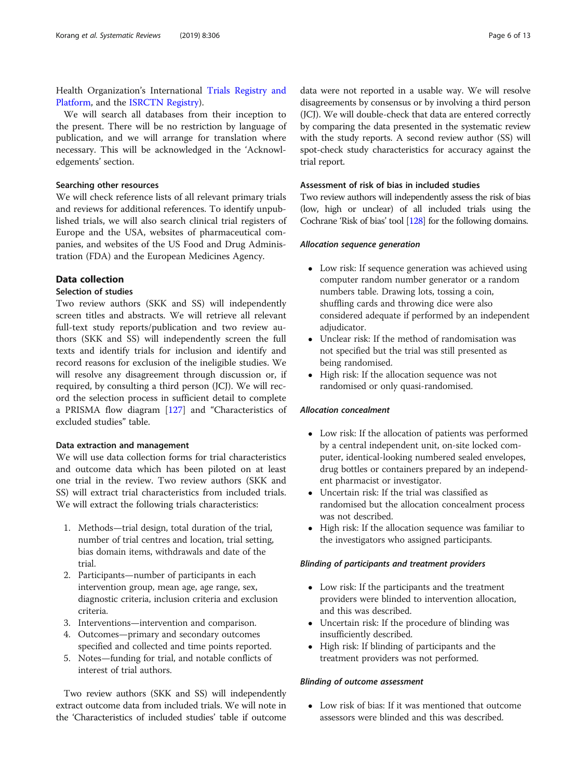Health Organization's International [Trials Registry and](http://www.whoint/ictrp/search/en/) [Platform](http://www.whoint/ictrp/search/en/), and the [ISRCTN Registry\)](http://www.isrctn.com/).

We will search all databases from their inception to the present. There will be no restriction by language of publication, and we will arrange for translation where necessary. This will be acknowledged in the 'Acknowledgements' section.

#### Searching other resources

We will check reference lists of all relevant primary trials and reviews for additional references. To identify unpublished trials, we will also search clinical trial registers of Europe and the USA, websites of pharmaceutical companies, and websites of the US Food and Drug Administration (FDA) and the European Medicines Agency.

# Data collection

# Selection of studies

Two review authors (SKK and SS) will independently screen titles and abstracts. We will retrieve all relevant full-text study reports/publication and two review authors (SKK and SS) will independently screen the full texts and identify trials for inclusion and identify and record reasons for exclusion of the ineligible studies. We will resolve any disagreement through discussion or, if required, by consulting a third person (JCJ). We will record the selection process in sufficient detail to complete a PRISMA flow diagram [[127](#page-11-0)] and "Characteristics of excluded studies" table.

# Data extraction and management

We will use data collection forms for trial characteristics and outcome data which has been piloted on at least one trial in the review. Two review authors (SKK and SS) will extract trial characteristics from included trials. We will extract the following trials characteristics:

- 1. Methods—trial design, total duration of the trial, number of trial centres and location, trial setting, bias domain items, withdrawals and date of the trial.
- 2. Participants—number of participants in each intervention group, mean age, age range, sex, diagnostic criteria, inclusion criteria and exclusion criteria.
- 3. Interventions—intervention and comparison.
- 4. Outcomes—primary and secondary outcomes specified and collected and time points reported.
- 5. Notes—funding for trial, and notable conflicts of interest of trial authors.

Two review authors (SKK and SS) will independently extract outcome data from included trials. We will note in the 'Characteristics of included studies' table if outcome

data were not reported in a usable way. We will resolve disagreements by consensus or by involving a third person (JCJ). We will double-check that data are entered correctly by comparing the data presented in the systematic review with the study reports. A second review author (SS) will spot-check study characteristics for accuracy against the trial report.

# Assessment of risk of bias in included studies

Two review authors will independently assess the risk of bias (low, high or unclear) of all included trials using the Cochrane 'Risk of bias' tool [\[128](#page-11-0)] for the following domains.

# Allocation sequence generation

- Low risk: If sequence generation was achieved using computer random number generator or a random numbers table. Drawing lots, tossing a coin, shuffling cards and throwing dice were also considered adequate if performed by an independent adjudicator.
- Unclear risk: If the method of randomisation was not specified but the trial was still presented as being randomised.
- High risk: If the allocation sequence was not randomised or only quasi-randomised.

#### Allocation concealment

- Low risk: If the allocation of patients was performed by a central independent unit, on-site locked computer, identical-looking numbered sealed envelopes, drug bottles or containers prepared by an independent pharmacist or investigator.
- Uncertain risk: If the trial was classified as randomised but the allocation concealment process was not described.
- High risk: If the allocation sequence was familiar to the investigators who assigned participants.

# Blinding of participants and treatment providers

- Low risk: If the participants and the treatment providers were blinded to intervention allocation, and this was described.
- Uncertain risk: If the procedure of blinding was insufficiently described.
- High risk: If blinding of participants and the treatment providers was not performed.

#### Blinding of outcome assessment

 Low risk of bias: If it was mentioned that outcome assessors were blinded and this was described.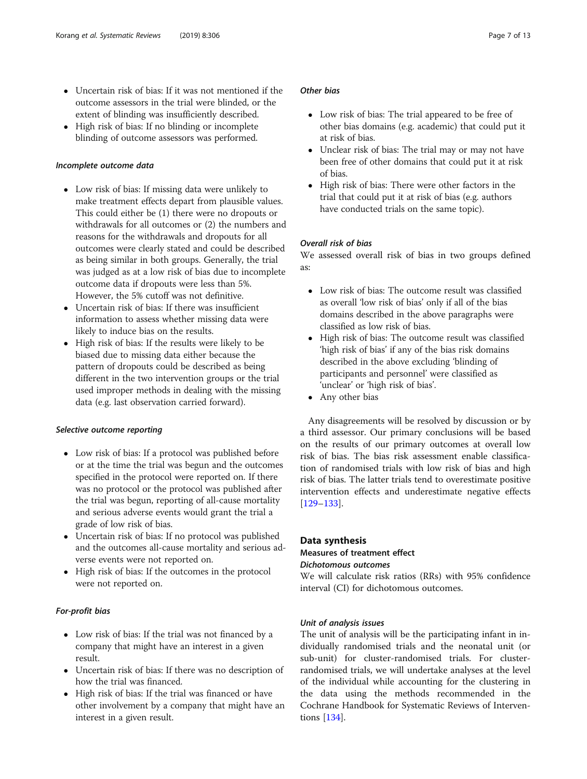- Uncertain risk of bias: If it was not mentioned if the outcome assessors in the trial were blinded, or the extent of blinding was insufficiently described.
- High risk of bias: If no blinding or incomplete blinding of outcome assessors was performed.

# Incomplete outcome data

- Low risk of bias: If missing data were unlikely to make treatment effects depart from plausible values. This could either be (1) there were no dropouts or withdrawals for all outcomes or (2) the numbers and reasons for the withdrawals and dropouts for all outcomes were clearly stated and could be described as being similar in both groups. Generally, the trial was judged as at a low risk of bias due to incomplete outcome data if dropouts were less than 5%. However, the 5% cutoff was not definitive.
- Uncertain risk of bias: If there was insufficient information to assess whether missing data were likely to induce bias on the results.
- High risk of bias: If the results were likely to be biased due to missing data either because the pattern of dropouts could be described as being different in the two intervention groups or the trial used improper methods in dealing with the missing data (e.g. last observation carried forward).

# Selective outcome reporting

- Low risk of bias: If a protocol was published before or at the time the trial was begun and the outcomes specified in the protocol were reported on. If there was no protocol or the protocol was published after the trial was begun, reporting of all-cause mortality and serious adverse events would grant the trial a grade of low risk of bias.
- Uncertain risk of bias: If no protocol was published and the outcomes all-cause mortality and serious adverse events were not reported on.
- High risk of bias: If the outcomes in the protocol were not reported on.

# For-profit bias

- Low risk of bias: If the trial was not financed by a company that might have an interest in a given result.
- Uncertain risk of bias: If there was no description of how the trial was financed.
- High risk of bias: If the trial was financed or have other involvement by a company that might have an interest in a given result.

# Other bias

- Low risk of bias: The trial appeared to be free of other bias domains (e.g. academic) that could put it at risk of bias.
- Unclear risk of bias: The trial may or may not have been free of other domains that could put it at risk of bias.
- High risk of bias: There were other factors in the trial that could put it at risk of bias (e.g. authors have conducted trials on the same topic).

#### Overall risk of bias

We assessed overall risk of bias in two groups defined as:

- Low risk of bias: The outcome result was classified as overall 'low risk of bias' only if all of the bias domains described in the above paragraphs were classified as low risk of bias.
- High risk of bias: The outcome result was classified 'high risk of bias' if any of the bias risk domains described in the above excluding 'blinding of participants and personnel' were classified as 'unclear' or 'high risk of bias'.
- Any other bias

Any disagreements will be resolved by discussion or by a third assessor. Our primary conclusions will be based on the results of our primary outcomes at overall low risk of bias. The bias risk assessment enable classification of randomised trials with low risk of bias and high risk of bias. The latter trials tend to overestimate positive intervention effects and underestimate negative effects [[129](#page-11-0)–[133](#page-12-0)].

# Data synthesis Measures of treatment effect Dichotomous outcomes

We will calculate risk ratios (RRs) with 95% confidence interval (CI) for dichotomous outcomes.

# Unit of analysis issues

The unit of analysis will be the participating infant in individually randomised trials and the neonatal unit (or sub-unit) for cluster-randomised trials. For clusterrandomised trials, we will undertake analyses at the level of the individual while accounting for the clustering in the data using the methods recommended in the Cochrane Handbook for Systematic Reviews of Interventions [[134\]](#page-12-0).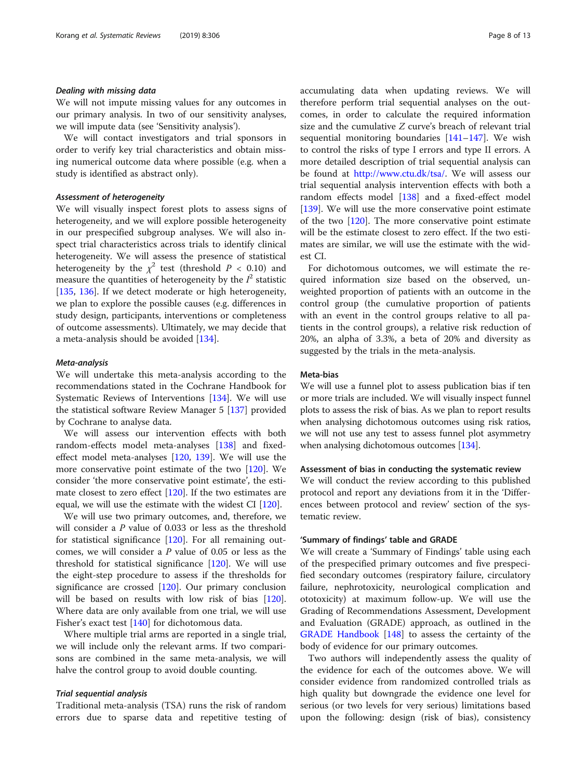#### Dealing with missing data

We will not impute missing values for any outcomes in our primary analysis. In two of our sensitivity analyses, we will impute data (see 'Sensitivity analysis').

We will contact investigators and trial sponsors in order to verify key trial characteristics and obtain missing numerical outcome data where possible (e.g. when a study is identified as abstract only).

# Assessment of heterogeneity

We will visually inspect forest plots to assess signs of heterogeneity, and we will explore possible heterogeneity in our prespecified subgroup analyses. We will also inspect trial characteristics across trials to identify clinical heterogeneity. We will assess the presence of statistical heterogeneity by the  $\chi^2$  test (threshold  $P < 0.10$ ) and measure the quantities of heterogeneity by the  $I^2$  statistic [[135,](#page-12-0) [136](#page-12-0)]. If we detect moderate or high heterogeneity, we plan to explore the possible causes (e.g. differences in study design, participants, interventions or completeness of outcome assessments). Ultimately, we may decide that a meta-analysis should be avoided [\[134\]](#page-12-0).

#### Meta-analysis

We will undertake this meta-analysis according to the recommendations stated in the Cochrane Handbook for Systematic Reviews of Interventions [\[134](#page-12-0)]. We will use the statistical software Review Manager 5 [[137](#page-12-0)] provided by Cochrane to analyse data.

We will assess our intervention effects with both random-effects model meta-analyses [[138\]](#page-12-0) and fixedeffect model meta-analyses [\[120,](#page-11-0) [139\]](#page-12-0). We will use the more conservative point estimate of the two  $[120]$ . We consider 'the more conservative point estimate', the estimate closest to zero effect  $[120]$  $[120]$  $[120]$ . If the two estimates are equal, we will use the estimate with the widest CI [\[120\]](#page-11-0).

We will use two primary outcomes, and, therefore, we will consider a P value of 0.033 or less as the threshold for statistical significance [\[120](#page-11-0)]. For all remaining outcomes, we will consider a P value of 0.05 or less as the threshold for statistical significance [\[120\]](#page-11-0). We will use the eight-step procedure to assess if the thresholds for significance are crossed [[120\]](#page-11-0). Our primary conclusion will be based on results with low risk of bias [\[120](#page-11-0)]. Where data are only available from one trial, we will use Fisher's exact test [[140\]](#page-12-0) for dichotomous data.

Where multiple trial arms are reported in a single trial, we will include only the relevant arms. If two comparisons are combined in the same meta-analysis, we will halve the control group to avoid double counting.

#### Trial sequential analysis

Traditional meta-analysis (TSA) runs the risk of random errors due to sparse data and repetitive testing of accumulating data when updating reviews. We will therefore perform trial sequential analyses on the outcomes, in order to calculate the required information size and the cumulative Z curve's breach of relevant trial sequential monitoring boundaries [[141](#page-12-0)–[147](#page-12-0)]. We wish to control the risks of type I errors and type II errors. A more detailed description of trial sequential analysis can be found at [http://www.ctu.dk/tsa/.](http://www.ctu.dk/tsa/) We will assess our trial sequential analysis intervention effects with both a random effects model [[138\]](#page-12-0) and a fixed-effect model [[139\]](#page-12-0). We will use the more conservative point estimate of the two  $[120]$  $[120]$  $[120]$ . The more conservative point estimate will be the estimate closest to zero effect. If the two estimates are similar, we will use the estimate with the widest CI.

For dichotomous outcomes, we will estimate the required information size based on the observed, unweighted proportion of patients with an outcome in the control group (the cumulative proportion of patients with an event in the control groups relative to all patients in the control groups), a relative risk reduction of 20%, an alpha of 3.3%, a beta of 20% and diversity as suggested by the trials in the meta-analysis.

#### Meta-bias

We will use a funnel plot to assess publication bias if ten or more trials are included. We will visually inspect funnel plots to assess the risk of bias. As we plan to report results when analysing dichotomous outcomes using risk ratios, we will not use any test to assess funnel plot asymmetry when analysing dichotomous outcomes [[134](#page-12-0)].

#### Assessment of bias in conducting the systematic review

We will conduct the review according to this published protocol and report any deviations from it in the 'Differences between protocol and review' section of the systematic review.

## 'Summary of findings' table and GRADE

We will create a 'Summary of Findings' table using each of the prespecified primary outcomes and five prespecified secondary outcomes (respiratory failure, circulatory failure, nephrotoxicity, neurological complication and ototoxicity) at maximum follow-up. We will use the Grading of Recommendations Assessment, Development and Evaluation (GRADE) approach, as outlined in the [GRADE Handbook](http://gdt.guidelinedevelopment.org/central_prod/_design/client/handbook/handbook.html) [[148](#page-12-0)] to assess the certainty of the body of evidence for our primary outcomes.

Two authors will independently assess the quality of the evidence for each of the outcomes above. We will consider evidence from randomized controlled trials as high quality but downgrade the evidence one level for serious (or two levels for very serious) limitations based upon the following: design (risk of bias), consistency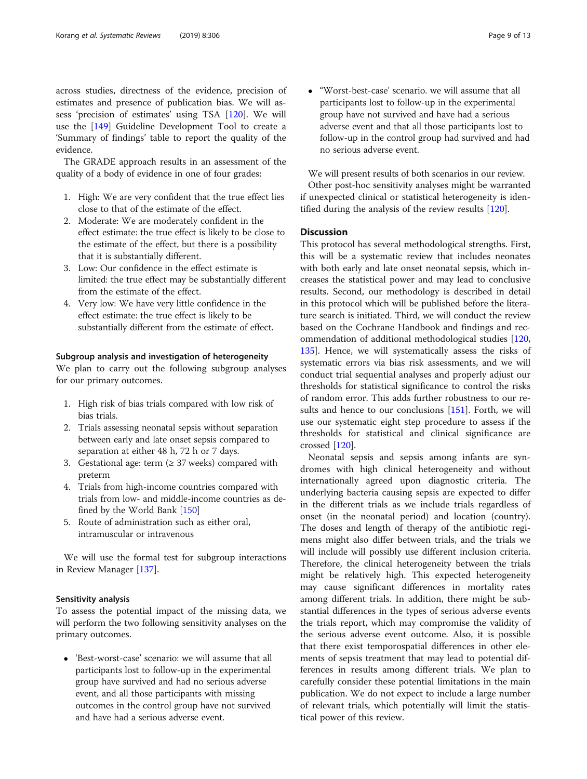across studies, directness of the evidence, precision of estimates and presence of publication bias. We will assess 'precision of estimates' using TSA [[120\]](#page-11-0). We will use the [\[149\]](#page-12-0) Guideline Development Tool to create a 'Summary of findings' table to report the quality of the evidence.

The GRADE approach results in an assessment of the quality of a body of evidence in one of four grades:

- 1. High: We are very confident that the true effect lies close to that of the estimate of the effect.
- 2. Moderate: We are moderately confident in the effect estimate: the true effect is likely to be close to the estimate of the effect, but there is a possibility that it is substantially different.
- 3. Low: Our confidence in the effect estimate is limited: the true effect may be substantially different from the estimate of the effect.
- 4. Very low: We have very little confidence in the effect estimate: the true effect is likely to be substantially different from the estimate of effect.

#### Subgroup analysis and investigation of heterogeneity

We plan to carry out the following subgroup analyses for our primary outcomes.

- 1. High risk of bias trials compared with low risk of bias trials.
- 2. Trials assessing neonatal sepsis without separation between early and late onset sepsis compared to separation at either 48 h, 72 h or 7 days.
- 3. Gestational age: term  $(≥ 37$  weeks) compared with preterm
- 4. Trials from high-income countries compared with trials from low- and middle-income countries as defined by the World Bank [\[150\]](#page-12-0)
- 5. Route of administration such as either oral, intramuscular or intravenous

We will use the formal test for subgroup interactions in Review Manager [[137](#page-12-0)].

#### Sensitivity analysis

To assess the potential impact of the missing data, we will perform the two following sensitivity analyses on the primary outcomes.

 'Best-worst-case' scenario: we will assume that all participants lost to follow-up in the experimental group have survived and had no serious adverse event, and all those participants with missing outcomes in the control group have not survived and have had a serious adverse event.

 "Worst-best-case' scenario. we will assume that all participants lost to follow-up in the experimental group have not survived and have had a serious adverse event and that all those participants lost to follow-up in the control group had survived and had no serious adverse event.

We will present results of both scenarios in our review. Other post-hoc sensitivity analyses might be warranted if unexpected clinical or statistical heterogeneity is identified during the analysis of the review results [\[120\]](#page-11-0).

#### **Discussion**

This protocol has several methodological strengths. First, this will be a systematic review that includes neonates with both early and late onset neonatal sepsis, which increases the statistical power and may lead to conclusive results. Second, our methodology is described in detail in this protocol which will be published before the literature search is initiated. Third, we will conduct the review based on the Cochrane Handbook and findings and recommendation of additional methodological studies [[120](#page-11-0), [135](#page-12-0)]. Hence, we will systematically assess the risks of systematic errors via bias risk assessments, and we will conduct trial sequential analyses and properly adjust our thresholds for statistical significance to control the risks of random error. This adds further robustness to our results and hence to our conclusions [\[151](#page-12-0)]. Forth, we will use our systematic eight step procedure to assess if the thresholds for statistical and clinical significance are crossed [\[120\]](#page-11-0).

Neonatal sepsis and sepsis among infants are syndromes with high clinical heterogeneity and without internationally agreed upon diagnostic criteria. The underlying bacteria causing sepsis are expected to differ in the different trials as we include trials regardless of onset (in the neonatal period) and location (country). The doses and length of therapy of the antibiotic regimens might also differ between trials, and the trials we will include will possibly use different inclusion criteria. Therefore, the clinical heterogeneity between the trials might be relatively high. This expected heterogeneity may cause significant differences in mortality rates among different trials. In addition, there might be substantial differences in the types of serious adverse events the trials report, which may compromise the validity of the serious adverse event outcome. Also, it is possible that there exist temporospatial differences in other elements of sepsis treatment that may lead to potential differences in results among different trials. We plan to carefully consider these potential limitations in the main publication. We do not expect to include a large number of relevant trials, which potentially will limit the statistical power of this review.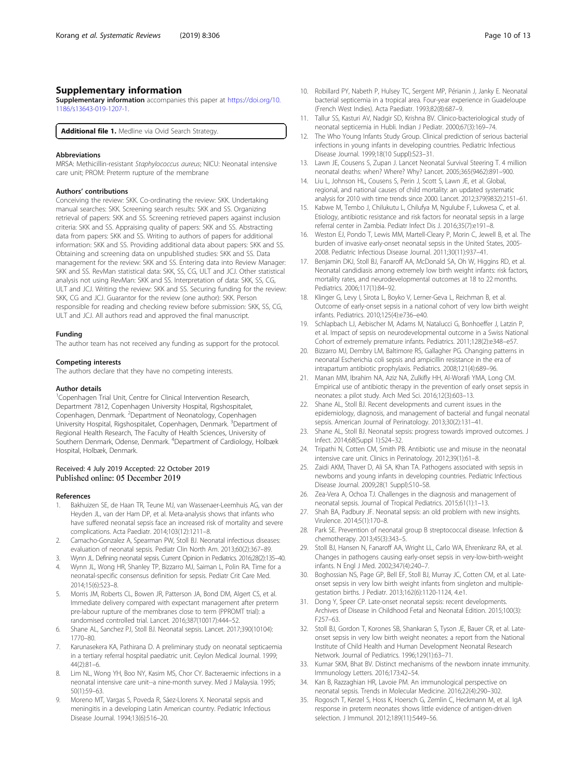# <span id="page-9-0"></span>Supplementary information

Supplementary information accompanies this paper at [https://doi.org/10.](https://doi.org/10.1186/s13643-019-1207-1) [1186/s13643-019-1207-1.](https://doi.org/10.1186/s13643-019-1207-1)

Additional file 1. Medline via Ovid Search Strategy.

#### Abbreviations

MRSA: Methicillin-resistant Staphylococcus aureus; NICU: Neonatal intensive care unit; PROM: Preterm rupture of the membrane

#### Authors' contributions

Conceiving the review: SKK. Co-ordinating the review: SKK. Undertaking manual searches: SKK. Screening search results: SKK and SS. Organizing retrieval of papers: SKK and SS. Screening retrieved papers against inclusion criteria: SKK and SS. Appraising quality of papers: SKK and SS. Abstracting data from papers: SKK and SS. Writing to authors of papers for additional information: SKK and SS. Providing additional data about papers: SKK and SS. Obtaining and screening data on unpublished studies: SKK and SS. Data management for the review: SKK and SS. Entering data into Review Manager: SKK and SS. RevMan statistical data: SKK, SS, CG, ULT and JCJ. Other statistical analysis not using RevMan: SKK and SS. Interpretation of data: SKK, SS, CG, ULT and JCJ. Writing the review: SKK and SS. Securing funding for the review: SKK, CG and JCJ. Guarantor for the review (one author): SKK. Person responsible for reading and checking review before submission: SKK, SS, CG, ULT and JCJ. All authors read and approved the final manuscript.

#### Funding

The author team has not received any funding as support for the protocol.

#### Competing interests

The authors declare that they have no competing interests.

#### Author details

<sup>1</sup>Copenhagen Trial Unit, Centre for Clinical Intervention Research, Department 7812, Copenhagen University Hospital, Rigshospitalet, Copenhagen, Denmark. <sup>2</sup>Department of Neonatology, Copenhagen University Hospital, Rigshospitalet, Copenhagen, Denmark. <sup>3</sup>Department of Regional Health Research, The Faculty of Health Sciences, University of Southern Denmark, Odense, Denmark. <sup>4</sup>Department of Cardiology, Holbæk Hospital, Holbæk, Denmark.

#### Received: 4 July 2019 Accepted: 22 October 2019 Published online: 05 December 2019

#### References

- 1. Bakhuizen SE, de Haan TR, Teune MJ, van Wassenaer-Leemhuis AG, van der Heyden JL, van der Ham DP, et al. Meta-analysis shows that infants who have suffered neonatal sepsis face an increased risk of mortality and severe complications. Acta Paediatr. 2014;103(12):1211–8.
- 2. Camacho-Gonzalez A, Spearman PW, Stoll BJ. Neonatal infectious diseases: evaluation of neonatal sepsis. Pediatr Clin North Am. 2013;60(2):367–89.
- 3. Wynn JL. Defining neonatal sepsis. Current Opinion in Pediatrics. 2016;28(2):135–40.
- 4. Wynn JL, Wong HR, Shanley TP, Bizzarro MJ, Saiman L, Polin RA. Time for a neonatal-specific consensus definition for sepsis. Pediatr Crit Care Med. 2014;15(6):523–8.
- 5. Morris JM, Roberts CL, Bowen JR, Patterson JA, Bond DM, Algert CS, et al. Immediate delivery compared with expectant management after preterm pre-labour rupture of the membranes close to term (PPROMT trial): a randomised controlled trial. Lancet. 2016;387(10017):444–52.
- 6. Shane AL, Sanchez PJ, Stoll BJ. Neonatal sepsis. Lancet. 2017;390(10104): 1770–80.
- 7. Karunasekera KA, Pathirana D. A preliminary study on neonatal septicaemia in a tertiary referral hospital paediatric unit. Ceylon Medical Journal. 1999; 44(2):81–6.
- 8. Lim NL, Wong YH, Boo NY, Kasim MS, Chor CY. Bacteraemic infections in a neonatal intensive care unit--a nine-month survey. Med J Malaysia. 1995; 50(1):59–63.
- 9. Moreno MT, Vargas S, Poveda R, Sáez-Llorens X. Neonatal sepsis and meningitis in a developing Latin American country. Pediatric Infectious Disease Journal. 1994;13(6):516–20.
- 10. Robillard PY, Nabeth P, Hulsey TC, Sergent MP, Périanin J, Janky E. Neonatal bacterial septicemia in a tropical area. Four-year experience in Guadeloupe (French West Indies). Acta Paediatr. 1993;82(8):687–9.
- 11. Tallur SS, Kasturi AV, Nadgir SD, Krishna BV. Clinico-bacteriological study of neonatal septicemia in Hubli. Indian J Pediatr. 2000;67(3):169–74.
- 12. The Who Young Infants Study Group. Clinical prediction of serious bacterial infections in young infants in developing countries. Pediatric Infectious Disease Journal. 1999;18(10 Suppl):S23–31.
- 13. Lawn JE, Cousens S, Zupan J. Lancet Neonatal Survival Steering T. 4 million neonatal deaths: when? Where? Why? Lancet. 2005;365(9462):891–900.
- 14. Liu L, Johnson HL, Cousens S, Perin J, Scott S, Lawn JE, et al. Global, regional, and national causes of child mortality: an updated systematic analysis for 2010 with time trends since 2000. Lancet. 2012;379(9832):2151–61.
- 15. Kabwe M, Tembo J, Chilukutu L, Chilufya M, Ngulube F, Lukwesa C, et al. Etiology, antibiotic resistance and risk factors for neonatal sepsis in a large referral center in Zambia. Pediatr Infect Dis J. 2016;35(7):e191–8.
- 16. Weston EJ, Pondo T, Lewis MM, Martell-Cleary P, Morin C, Jewell B, et al. The burden of invasive early-onset neonatal sepsis in the United States, 2005- 2008. Pediatric Infectious Disease Journal. 2011;30(11):937–41.
- 17. Benjamin DKJ, Stoll BJ, Fanaroff AA, McDonald SA, Oh W, Higgins RD, et al. Neonatal candidiasis among extremely low birth weight infants: risk factors, mortality rates, and neurodevelopmental outcomes at 18 to 22 months. Pediatrics. 2006;117(1):84–92.
- 18. Klinger G, Levy I, Sirota L, Boyko V, Lerner-Geva L, Reichman B, et al. Outcome of early-onset sepsis in a national cohort of very low birth weight infants. Pediatrics. 2010;125(4):e736–e40.
- 19. Schlapbach LJ, Aebischer M, Adams M, Natalucci G, Bonhoeffer J, Latzin P, et al. Impact of sepsis on neurodevelopmental outcome in a Swiss National Cohort of extremely premature infants. Pediatrics. 2011;128(2):e348–e57.
- 20. Bizzarro MJ, Dembry LM, Baltimore RS, Gallagher PG. Changing patterns in neonatal Escherichia coli sepsis and ampicillin resistance in the era of intrapartum antibiotic prophylaxis. Pediatrics. 2008;121(4):689–96.
- 21. Manan MM, Ibrahim NA, Aziz NA, Zulkifly HH, Al-Worafi YMA, Long CM. Empirical use of antibiotic therapy in the prevention of early onset sepsis in neonates: a pilot study. Arch Med Sci. 2016;12(3):603–13.
- 22. Shane AL, Stoll BJ. Recent developments and current issues in the epidemiology, diagnosis, and management of bacterial and fungal neonatal sepsis. American Journal of Perinatology. 2013;30(2):131–41.
- 23. Shane AL, Stoll BJ. Neonatal sepsis: progress towards improved outcomes. J Infect. 2014;68(Suppl 1):S24–32.
- 24. Tripathi N, Cotten CM, Smith PB. Antibiotic use and misuse in the neonatal intensive care unit. Clinics in Perinatology. 2012;39(1):61–8.
- 25. Zaidi AKM, Thaver D, Ali SA, Khan TA. Pathogens associated with sepsis in newborns and young infants in developing countries. Pediatric Infectious Disease Journal. 2009;28(1 Suppl):S10–S8.
- 26. Zea-Vera A, Ochoa TJ. Challenges in the diagnosis and management of neonatal sepsis. Journal of Tropical Pediatrics. 2015;61(1):1–13.
- 27. Shah BA, Padbury JF. Neonatal sepsis: an old problem with new insights. Virulence. 2014;5(1):170–8.
- 28. Park SE. Prevention of neonatal group B streptococcal disease. Infection & chemotherapy. 2013;45(3):343–5.
- 29. Stoll BJ, Hansen N, Fanaroff AA, Wright LL, Carlo WA, Ehrenkranz RA, et al. Changes in pathogens causing early-onset sepsis in very-low-birth-weight infants. N Engl J Med. 2002;347(4):240–7.
- 30. Boghossian NS, Page GP, Bell EF, Stoll BJ, Murray JC, Cotten CM, et al. Lateonset sepsis in very low birth weight infants from singleton and multiplegestation births. J Pediatr. 2013;162(6):1120-1124, 4.e1.
- 31. Dong Y, Speer CP. Late-onset neonatal sepsis: recent developments. Archives of Disease in Childhood Fetal and Neonatal Edition. 2015;100(3): F257–63.
- 32. Stoll BJ, Gordon T, Korones SB, Shankaran S, Tyson JE, Bauer CR, et al. Lateonset sepsis in very low birth weight neonates: a report from the National Institute of Child Health and Human Development Neonatal Research Network. Journal of Pediatrics. 1996;129(1):63–71.
- 33. Kumar SKM, Bhat BV. Distinct mechanisms of the newborn innate immunity. Immunology Letters. 2016;173:42–54.
- 34. Kan B, Razzaghian HR, Lavoie PM. An immunological perspective on neonatal sepsis. Trends in Molecular Medicine. 2016;22(4):290–302.
- 35. Rogosch T, Kerzel S, Hoss K, Hoersch G, Zemlin C, Heckmann M, et al. IgA response in preterm neonates shows little evidence of antigen-driven selection. J Immunol. 2012;189(11):5449–56.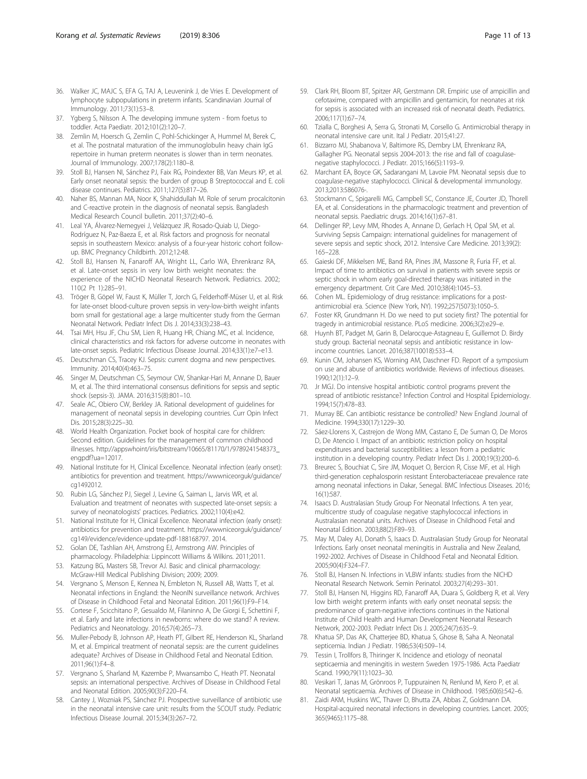- <span id="page-10-0"></span>36. Walker JC, MAJC S, EFA G, TAJ A, Leuvenink J, de Vries E. Development of lymphocyte subpopulations in preterm infants. Scandinavian Journal of Immunology. 2011;73(1):53–8.
- 37. Ygberg S, Nilsson A. The developing immune system from foetus to toddler. Acta Paediatr. 2012;101(2):120–7.
- 38. Zemlin M, Hoersch G, Zemlin C, Pohl-Schickinger A, Hummel M, Berek C, et al. The postnatal maturation of the immunoglobulin heavy chain IgG repertoire in human preterm neonates is slower than in term neonates. Journal of Immunology. 2007;178(2):1180–8.
- 39. Stoll BJ, Hansen NI, Sánchez PJ, Faix RG, Poindexter BB, Van Meurs KP, et al. Early onset neonatal sepsis: the burden of group B Streptococcal and E. coli disease continues. Pediatrics. 2011;127(5):817–26.
- 40. Naher BS, Mannan MA, Noor K, Shahiddullah M. Role of serum procalcitonin and C-reactive protein in the diagnosis of neonatal sepsis. Bangladesh Medical Research Council bulletin. 2011;37(2):40–6.
- 41. Leal YA, Álvarez-Nemegyei J, Velázquez JR, Rosado-Quiab U, Diego-Rodríguez N, Paz-Baeza E, et al. Risk factors and prognosis for neonatal sepsis in southeastern Mexico: analysis of a four-year historic cohort followup. BMC Pregnancy Childbirth. 2012;12:48.
- 42. Stoll BJ, Hansen N, Fanaroff AA, Wright LL, Carlo WA, Ehrenkranz RA, et al. Late-onset sepsis in very low birth weight neonates: the experience of the NICHD Neonatal Research Network. Pediatrics. 2002; 110(2 Pt 1):285–91.
- 43. Tröger B, Göpel W, Faust K, Müller T, Jorch G, Felderhoff-Müser U, et al. Risk for late-onset blood-culture proven sepsis in very-low-birth weight infants born small for gestational age: a large multicenter study from the German Neonatal Network. Pediatr Infect Dis J. 2014;33(3):238–43.
- 44. Tsai MH, Hsu JF, Chu SM, Lien R, Huang HR, Chiang MC, et al. Incidence, clinical characteristics and risk factors for adverse outcome in neonates with late-onset sepsis. Pediatric Infectious Disease Journal. 2014;33(1):e7–e13.
- 45. Deutschman CS, Tracey KJ. Sepsis: current dogma and new perspectives. Immunity. 2014;40(4):463–75.
- 46. Singer M, Deutschman CS, Seymour CW, Shankar-Hari M, Annane D, Bauer M, et al. The third international consensus definitions for sepsis and septic shock (sepsis-3). JAMA. 2016;315(8):801–10.
- 47. Seale AC, Obiero CW, Berkley JA. Rational development of guidelines for management of neonatal sepsis in developing countries. Curr Opin Infect Dis. 2015;28(3):225–30.
- 48. World Health Organization. Pocket book of hospital care for children: Second edition. Guidelines for the management of common childhood illnesses. http://appswhoint/iris/bitstream/10665/81170/1/9789241548373\_ engpdf?ua=12017.
- 49. National Institute for H, Clinical Excellence. Neonatal infection (early onset): antibiotics for prevention and treatment. https://wwwniceorguk/guidance/ cg1492012.
- 50. Rubin LG, Sánchez PJ, Siegel J, Levine G, Saiman L, Jarvis WR, et al. Evaluation and treatment of neonates with suspected late-onset sepsis: a survey of neonatologists' practices. Pediatrics. 2002;110(4):e42.
- 51. National Institute for H, Clinical Excellence. Neonatal infection (early onset): antibiotics for prevention and treatment. https://wwwniceorguk/guidance/ cg149/evidence/evidence-update-pdf-188168797. 2014.
- 52. Golan DE, Tashlian AH, Amstrong EJ, Armstrong AW. Principles of pharmacology. Philadelphia: Lippincott Williams & Wilkins. 2011;2011.
- 53. Katzung BG, Masters SB, Trevor AJ. Basic and clinical pharmacology: McGraw-Hill Medical Publishing Division; 2009; 2009.
- 54. Vergnano S, Menson E, Kennea N, Embleton N, Russell AB, Watts T, et al. Neonatal infections in England: the NeonIN surveillance network. Archives of Disease in Childhood Fetal and Neonatal Edition. 2011;96(1):F9–F14.
- 55. Cortese F, Scicchitano P, Gesualdo M, Filaninno A, De Giorgi E, Schettini F, et al. Early and late infections in newborns: where do we stand? A review. Pediatrics and Neonatology. 2016;57(4):265–73.
- 56. Muller-Pebody B, Johnson AP, Heath PT, Gilbert RE, Henderson KL, Sharland M, et al. Empirical treatment of neonatal sepsis: are the current guidelines adequate? Archives of Disease in Childhood Fetal and Neonatal Edition. 2011;96(1):F4–8.
- 57. Vergnano S, Sharland M, Kazembe P, Mwansambo C, Heath PT. Neonatal sepsis: an international perspective. Archives of Disease in Childhood Fetal and Neonatal Edition. 2005;90(3):F220–F4.
- 58. Cantey J, Wozniak PS, Sánchez PJ. Prospective surveillance of antibiotic use in the neonatal intensive care unit: results from the SCOUT study. Pediatric Infectious Disease Journal. 2015;34(3):267–72.
- 59. Clark RH, Bloom BT, Spitzer AR, Gerstmann DR. Empiric use of ampicillin and cefotaxime, compared with ampicillin and gentamicin, for neonates at risk for sepsis is associated with an increased risk of neonatal death. Pediatrics. 2006;117(1):67–74.
- 60. Tzialla C, Borghesi A, Serra G, Stronati M, Corsello G. Antimicrobial therapy in neonatal intensive care unit. Ital J Pediatr. 2015;41:27.
- 61. Bizzarro MJ, Shabanova V, Baltimore RS, Dembry LM, Ehrenkranz RA, Gallagher PG. Neonatal sepsis 2004-2013: the rise and fall of coagulasenegative staphylococci. J Pediatr. 2015;166(5):1193–9.
- 62. Marchant EA, Boyce GK, Sadarangani M, Lavoie PM. Neonatal sepsis due to coagulase-negative staphylococci. Clinical & developmental immunology. 2013;2013:586076-.
- 63. Stockmann C, Spigarelli MG, Campbell SC, Constance JE, Courter JD, Thorell EA, et al. Considerations in the pharmacologic treatment and prevention of neonatal sepsis. Paediatric drugs. 2014;16(1):67–81.
- 64. Dellinger RP, Levy MM, Rhodes A, Annane D, Gerlach H, Opal SM, et al. Surviving Sepsis Campaign: international guidelines for management of severe sepsis and septic shock, 2012. Intensive Care Medicine. 2013;39(2): 165–228.
- 65. Gaieski DF, Mikkelsen ME, Band RA, Pines JM, Massone R, Furia FF, et al. Impact of time to antibiotics on survival in patients with severe sepsis or septic shock in whom early goal-directed therapy was initiated in the emergency department. Crit Care Med. 2010;38(4):1045–53.
- 66. Cohen ML. Epidemiology of drug resistance: implications for a postantimicrobial era. Science (New York, NY). 1992;257(5073):1050–5.
- 67. Foster KR, Grundmann H. Do we need to put society first? The potential for tragedy in antimicrobial resistance. PLoS medicine. 2006;3(2):e29–e.
- 68. Huynh BT, Padget M, Garin B, Delarocque-Astagneau E, Guillemot D. Birdy study group. Bacterial neonatal sepsis and antibiotic resistance in lowincome countries. Lancet. 2016;387(10018):533–4.
- 69. Kunin CM, Johansen KS, Worning AM, Daschner FD. Report of a symposium on use and abuse of antibiotics worldwide. Reviews of infectious diseases. 1990;12(1):12–9.
- 70. Jr MGJ. Do intensive hospital antibiotic control programs prevent the spread of antibiotic resistance? Infection Control and Hospital Epidemiology. 1994;15(7):478–83.
- 71. Murray BE. Can antibiotic resistance be controlled? New England Journal of Medicine. 1994;330(17):1229–30.
- 72. Sáez-Llorens X, Castrejon de Wong MM, Castano E, De Suman O, De Moros D, De Atencio I. Impact of an antibiotic restriction policy on hospital expenditures and bacterial susceptibilities: a lesson from a pediatric institution in a developing country. Pediatr Infect Dis J. 2000;19(3):200–6.
- 73. Breurec S, Bouchiat C, Sire JM, Moquet O, Bercion R, Cisse MF, et al. High third-generation cephalosporin resistant Enterobacteriaceae prevalence rate among neonatal infections in Dakar, Senegal. BMC Infectious Diseases. 2016; 16(1):587.
- 74. Isaacs D. Australasian Study Group For Neonatal Infections. A ten year, multicentre study of coagulase negative staphylococcal infections in Australasian neonatal units. Archives of Disease in Childhood Fetal and Neonatal Edition. 2003;88(2):F89–93.
- 75. May M, Daley AJ, Donath S, Isaacs D. Australasian Study Group for Neonatal Infections. Early onset neonatal meningitis in Australia and New Zealand, 1992-2002. Archives of Disease in Childhood Fetal and Neonatal Edition. 2005;90(4):F324–F7.
- 76. Stoll BJ, Hansen N. Infections in VLBW infants: studies from the NICHD Neonatal Research Network. Semin Perinatol. 2003;27(4):293–301.
- 77. Stoll BJ, Hansen NI, Higgins RD, Fanaroff AA, Duara S, Goldberg R, et al. Very low birth weight preterm infants with early onset neonatal sepsis: the predominance of gram-negative infections continues in the National Institute of Child Health and Human Development Neonatal Research Network, 2002-2003. Pediatr Infect Dis J. 2005;24(7):635–9.
- 78. Khatua SP, Das AK, Chatterjee BD, Khatua S, Ghose B, Saha A. Neonatal septicemia. Indian J Pediatr. 1986;53(4):509–14.
- 79. Tessin I, Trollfors B, Thiringer K. Incidence and etiology of neonatal septicaemia and meningitis in western Sweden 1975-1986. Acta Paediatr Scand. 1990;79(11):1023–30.
- 80. Vesikari T, Janas M, Grönroos P, Tuppurainen N, Renlund M, Kero P, et al. Neonatal septicaemia. Archives of Disease in Childhood. 1985;60(6):542–6.
- 81. Zaidi AKM, Huskins WC, Thaver D, Bhutta ZA, Abbas Z, Goldmann DA. Hospital-acquired neonatal infections in developing countries. Lancet. 2005; 365(9465):1175–88.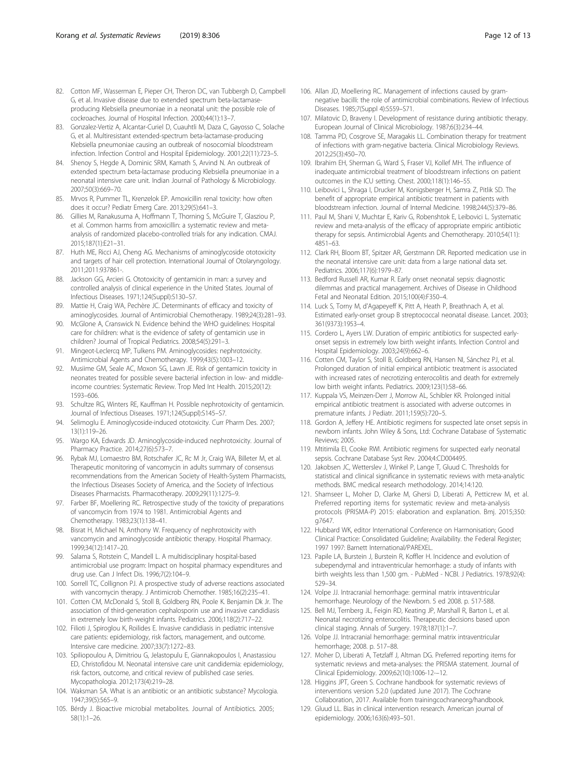- <span id="page-11-0"></span>82. Cotton MF, Wasserman E, Pieper CH, Theron DC, van Tubbergh D, Campbell G, et al. Invasive disease due to extended spectrum beta-lactamaseproducing Klebsiella pneumoniae in a neonatal unit: the possible role of cockroaches. Journal of Hospital Infection. 2000;44(1):13–7.
- 83. Gonzalez-Vertiz A, Alcantar-Curiel D, Cuauhtli M, Daza C, Gayosso C, Solache G, et al. Multiresistant extended-spectrum beta-lactamase-producing Klebsiella pneumoniae causing an outbreak of nosocomial bloodstream infection. Infection Control and Hospital Epidemiology. 2001;22(11):723–5.
- 84. Shenoy S, Hegde A, Dominic SRM, Kamath S, Arvind N. An outbreak of extended spectrum beta-lactamase producing Klebsiella pneumoniae in a neonatal intensive care unit. Indian Journal of Pathology & Microbiology. 2007;50(3):669–70.
- 85. Mrvos R, Pummer TL, Krenzelok EP. Amoxicillin renal toxicity: how often does it occur? Pediatr Emerg Care. 2013;29(5):641–3.
- 86. Gillies M, Ranakusuma A, Hoffmann T, Thorning S, McGuire T, Glasziou P, et al. Common harms from amoxicillin: a systematic review and metaanalysis of randomized placebo-controlled trials for any indication. CMAJ. 2015;187(1):E21–31.
- 87. Huth ME, Ricci AJ, Cheng AG. Mechanisms of aminoglycoside ototoxicity and targets of hair cell protection. International Journal of Otolaryngology. 2011;2011:937861-.
- 88. Jackson GG, Arcieri G. Ototoxicity of gentamicin in man: a survey and controlled analysis of clinical experience in the United States. Journal of Infectious Diseases. 1971;124(Suppl):S130–S7.
- Mattie H, Craig WA, Pechère JC. Determinants of efficacy and toxicity of aminoglycosides. Journal of Antimicrobial Chemotherapy. 1989;24(3):281–93.
- 90. McGlone A, Cranswick N. Evidence behind the WHO guidelines: Hospital care for children: what is the evidence of safety of gentamicin use in children? Journal of Tropical Pediatrics. 2008;54(5):291–3.
- 91. Mingeot-Leclercq MP, Tulkens PM. Aminoglycosides: nephrotoxicity. Antimicrobial Agents and Chemotherapy. 1999;43(5):1003–12.
- 92. Musiime GM, Seale AC, Moxon SG, Lawn JE. Risk of gentamicin toxicity in neonates treated for possible severe bacterial infection in low- and middleincome countries: Systematic Review. Trop Med Int Health. 2015;20(12): 1593–606.
- 93. Schultze RG, Winters RE, Kauffman H. Possible nephrotoxicity of gentamicin. Journal of Infectious Diseases. 1971;124(Suppl):S145–S7.
- 94. Selimoglu E. Aminoglycoside-induced ototoxicity. Curr Pharm Des. 2007; 13(1):119–26.
- 95. Wargo KA, Edwards JD. Aminoglycoside-induced nephrotoxicity. Journal of Pharmacy Practice. 2014;27(6):573–7.
- 96. Rybak MJ, Lomaestro BM, Rotschafer JC, Rc M Jr, Craig WA, Billeter M, et al. Therapeutic monitoring of vancomycin in adults summary of consensus recommendations from the American Society of Health-System Pharmacists, the Infectious Diseases Society of America, and the Society of Infectious Diseases Pharmacists. Pharmacotherapy. 2009;29(11):1275–9.
- 97. Farber BF, Moellering RC. Retrospective study of the toxicity of preparations of vancomycin from 1974 to 1981. Antimicrobial Agents and Chemotherapy. 1983;23(1):138–41.
- 98. Bisrat H, Michael N, Anthony W. Frequency of nephrotoxicity with vancomycin and aminoglycoside antibiotic therapy. Hospital Pharmacy. 1999;34(12):1417–20.
- 99. Salama S, Rotstein C, Mandell L. A multidisciplinary hospital-based antimicrobial use program: Impact on hospital pharmacy expenditures and drug use. Can J Infect Dis. 1996;7(2):104–9.
- 100. Sorrell TC, Collignon PJ. A prospective study of adverse reactions associated with vancomycin therapy. J Antimicrob Chemother. 1985;16(2):235–41.
- 101. Cotten CM, McDonald S, Stoll B, Goldberg RN, Poole K. Benjamin Dk Jr. The association of third-generation cephalosporin use and invasive candidiasis in extremely low birth-weight infants. Pediatrics. 2006;118(2):717–22.
- 102. Filioti J, Spiroglou K, Roilides E. Invasive candidiasis in pediatric intensive care patients: epidemiology, risk factors, management, and outcome. Intensive care medicine. 2007;33(7):1272–83.
- 103. Spiliopoulou A, Dimitriou G, Jelastopulu E, Giannakopoulos I, Anastassiou ED, Christofidou M. Neonatal intensive care unit candidemia: epidemiology, risk factors, outcome, and critical review of published case series. Mycopathologia. 2012;173(4):219–28.
- 104. Waksman SA. What is an antibiotic or an antibiotic substance? Mycologia. 1947;39(5):565–9.
- 105. Bérdy J. Bioactive microbial metabolites. Journal of Antibiotics. 2005; 58(1):1–26.
- 106. Allan JD, Moellering RC. Management of infections caused by gramnegative bacilli: the role of antimicrobial combinations. Review of Infectious Diseases. 1985;7(Suppl 4):S559–S71.
- 107. Milatovic D, Braveny I. Development of resistance during antibiotic therapy. European Journal of Clinical Microbiology. 1987;6(3):234–44.
- 108. Tamma PD, Cosgrove SE, Maragakis LL. Combination therapy for treatment of infections with gram-negative bacteria. Clinical Microbiology Reviews. 2012;25(3):450–70.
- 109. Ibrahim EH, Sherman G, Ward S, Fraser VJ, Kollef MH. The influence of inadequate antimicrobial treatment of bloodstream infections on patient outcomes in the ICU setting. Chest. 2000;118(1):146–55.
- 110. Leibovici L, Shraga I, Drucker M, Konigsberger H, Samra Z, Pitlik SD. The benefit of appropriate empirical antibiotic treatment in patients with bloodstream infection. Journal of Internal Medicine. 1998;244(5):379–86.
- 111. Paul M, Shani V, Muchtar E, Kariv G, Robenshtok E, Leibovici L. Systematic review and meta-analysis of the efficacy of appropriate empiric antibiotic therapy for sepsis. Antimicrobial Agents and Chemotherapy. 2010;54(11): 4851–63.
- 112. Clark RH, Bloom BT, Spitzer AR, Gerstmann DR. Reported medication use in the neonatal intensive care unit: data from a large national data set. Pediatrics. 2006;117(6):1979–87.
- 113. Bedford Russell AR, Kumar R. Early onset neonatal sepsis: diagnostic dilemmas and practical management. Archives of Disease in Childhood Fetal and Neonatal Edition. 2015;100(4):F350–4.
- 114. Luck S, Torny M, d'Agapeyeff K, Pitt A, Heath P, Breathnach A, et al. Estimated early-onset group B streptococcal neonatal disease. Lancet. 2003; 361(9373):1953–4.
- 115. Cordero L, Ayers LW. Duration of empiric antibiotics for suspected earlyonset sepsis in extremely low birth weight infants. Infection Control and Hospital Epidemiology. 2003;24(9):662–6.
- 116. Cotten CM, Taylor S, Stoll B, Goldberg RN, Hansen NI, Sánchez PJ, et al. Prolonged duration of initial empirical antibiotic treatment is associated with increased rates of necrotizing enterocolitis and death for extremely low birth weight infants. Pediatrics. 2009;123(1):58–66.
- 117. Kuppala VS, Meinzen-Derr J, Morrow AL, Schibler KR. Prolonged initial empirical antibiotic treatment is associated with adverse outcomes in premature infants. J Pediatr. 2011;159(5):720–5.
- 118. Gordon A, Jeffery HE. Antibiotic regimens for suspected late onset sepsis in newborn infants. John Wiley & Sons, Ltd: Cochrane Database of Systematic Reviews; 2005.
- 119. Mtitimila EI, Cooke RWI. Antibiotic regimens for suspected early neonatal sepsis. Cochrane Database Syst Rev. 2004;4:CD004495.
- 120. Jakobsen JC, Wetterslev J, Winkel P, Lange T, Gluud C. Thresholds for statistical and clinical significance in systematic reviews with meta-analytic methods. BMC medical research methodology. 2014;14:120.
- 121. Shamseer L, Moher D, Clarke M, Ghersi D, Liberati A, Petticrew M, et al. Preferred reporting items for systematic review and meta-analysis protocols (PRISMA-P) 2015: elaboration and explanation. Bmj. 2015;350: g7647.
- 122. Hubbard WK, editor International Conference on Harmonisation; Good Clinical Practice: Consolidated Guideline; Availability. the Federal Register; 1997 1997: Barnett International/PAREXEL.
- 123. Papile LA, Burstein J, Burstein R, Koffler H. Incidence and evolution of subependymal and intraventricular hemorrhage: a study of infants with birth weights less than 1,500 gm. - PubMed - NCBI. J Pediatrics. 1978;92(4): 529–34.
- 124. Volpe JJ. Intracranial hemorrhage: germinal matrix intraventricular hemorrhage. Neurology of the Newborn. 5 ed 2008. p. 517-588.
- 125. Bell MJ, Ternberg JL, Feigin RD, Keating JP, Marshall R, Barton L, et al. Neonatal necrotizing enterocolitis. Therapeutic decisions based upon clinical staging. Annals of Surgery. 1978;187(1):1–7.
- 126. Volpe JJ. Intracranial hemorrhage: germinal matrix intraventricular hemorrhage; 2008. p. 517–88.
- 127. Moher D, Liberati A, Tetzlaff J, Altman DG. Preferred reporting items for systematic reviews and meta-analyses: the PRISMA statement. Journal of Clinical Epidemiology. 2009;62(10):1006-12-–12.
- 128. Higgins JPT, Green S. Cochrane handbook for systematic reviews of interventions version 5.2.0 (updated June 2017). The Cochrane Collaboration, 2017. Available from trainingcochraneorg/handbook.
- 129. Gluud LL. Bias in clinical intervention research. American journal of epidemiology. 2006;163(6):493–501.